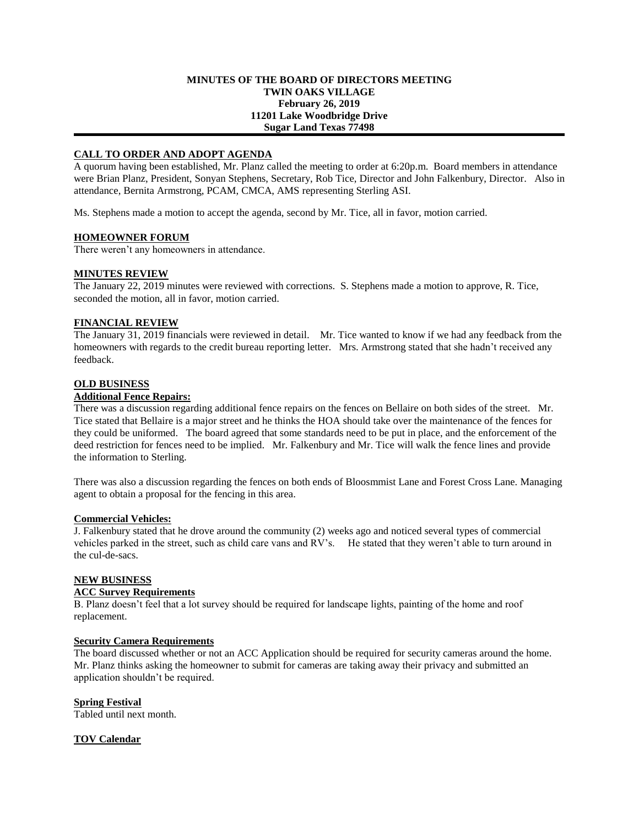### **MINUTES OF THE BOARD OF DIRECTORS MEETING TWIN OAKS VILLAGE February 26, 2019 11201 Lake Woodbridge Drive Sugar Land Texas 77498**

## **CALL TO ORDER AND ADOPT AGENDA**

A quorum having been established, Mr. Planz called the meeting to order at 6:20p.m. Board members in attendance were Brian Planz, President, Sonyan Stephens, Secretary, Rob Tice, Director and John Falkenbury, Director. Also in attendance, Bernita Armstrong, PCAM, CMCA, AMS representing Sterling ASI.

Ms. Stephens made a motion to accept the agenda, second by Mr. Tice, all in favor, motion carried.

## **HOMEOWNER FORUM**

There weren't any homeowners in attendance.

## **MINUTES REVIEW**

The January 22, 2019 minutes were reviewed with corrections. S. Stephens made a motion to approve, R. Tice, seconded the motion, all in favor, motion carried.

## **FINANCIAL REVIEW**

The January 31, 2019 financials were reviewed in detail. Mr. Tice wanted to know if we had any feedback from the homeowners with regards to the credit bureau reporting letter. Mrs. Armstrong stated that she hadn't received any feedback.

## **OLD BUSINESS**

## **Additional Fence Repairs:**

There was a discussion regarding additional fence repairs on the fences on Bellaire on both sides of the street. Mr. Tice stated that Bellaire is a major street and he thinks the HOA should take over the maintenance of the fences for they could be uniformed. The board agreed that some standards need to be put in place, and the enforcement of the deed restriction for fences need to be implied. Mr. Falkenbury and Mr. Tice will walk the fence lines and provide the information to Sterling.

There was also a discussion regarding the fences on both ends of Bloosmmist Lane and Forest Cross Lane. Managing agent to obtain a proposal for the fencing in this area.

## **Commercial Vehicles:**

J. Falkenbury stated that he drove around the community (2) weeks ago and noticed several types of commercial vehicles parked in the street, such as child care vans and RV's. He stated that they weren't able to turn around in the cul-de-sacs.

### **NEW BUSINESS**

## **ACC Survey Requirements**

B. Planz doesn't feel that a lot survey should be required for landscape lights, painting of the home and roof replacement.

#### **Security Camera Requirements**

The board discussed whether or not an ACC Application should be required for security cameras around the home. Mr. Planz thinks asking the homeowner to submit for cameras are taking away their privacy and submitted an application shouldn't be required.

## **Spring Festival**

Tabled until next month.

#### **TOV Calendar**